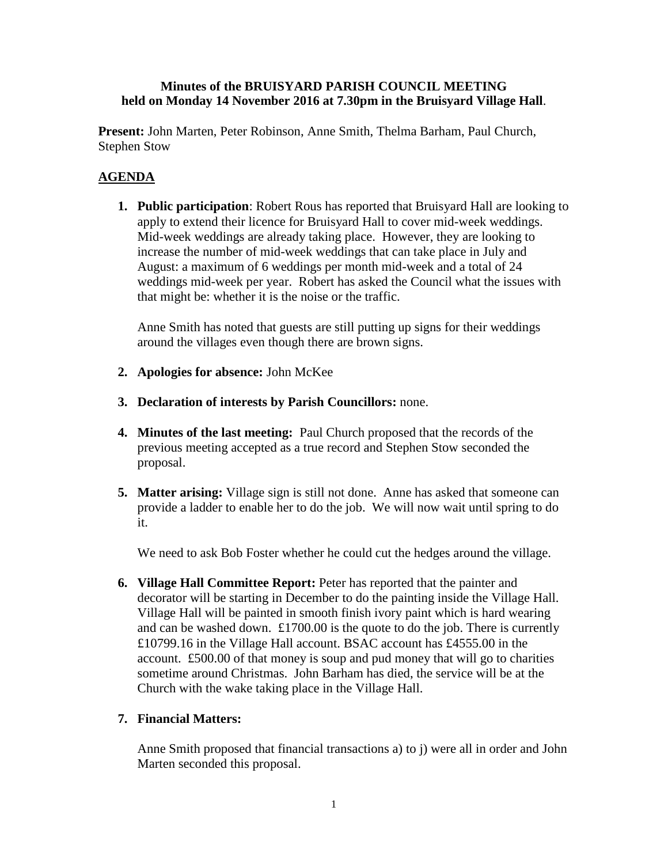### **Minutes of the BRUISYARD PARISH COUNCIL MEETING held on Monday 14 November 2016 at 7.30pm in the Bruisyard Village Hall**.

**Present:** John Marten, Peter Robinson, Anne Smith, Thelma Barham, Paul Church, Stephen Stow

# **AGENDA**

**1. Public participation**: Robert Rous has reported that Bruisyard Hall are looking to apply to extend their licence for Bruisyard Hall to cover mid-week weddings. Mid-week weddings are already taking place. However, they are looking to increase the number of mid-week weddings that can take place in July and August: a maximum of 6 weddings per month mid-week and a total of 24 weddings mid-week per year. Robert has asked the Council what the issues with that might be: whether it is the noise or the traffic.

Anne Smith has noted that guests are still putting up signs for their weddings around the villages even though there are brown signs.

- **2. Apologies for absence:** John McKee
- **3. Declaration of interests by Parish Councillors:** none.
- **4. Minutes of the last meeting:** Paul Church proposed that the records of the previous meeting accepted as a true record and Stephen Stow seconded the proposal.
- **5. Matter arising:** Village sign is still not done. Anne has asked that someone can provide a ladder to enable her to do the job. We will now wait until spring to do it.

We need to ask Bob Foster whether he could cut the hedges around the village.

**6. Village Hall Committee Report:** Peter has reported that the painter and decorator will be starting in December to do the painting inside the Village Hall. Village Hall will be painted in smooth finish ivory paint which is hard wearing and can be washed down. £1700.00 is the quote to do the job. There is currently £10799.16 in the Village Hall account. BSAC account has £4555.00 in the account. £500.00 of that money is soup and pud money that will go to charities sometime around Christmas. John Barham has died, the service will be at the Church with the wake taking place in the Village Hall.

## **7. Financial Matters:**

Anne Smith proposed that financial transactions a) to j) were all in order and John Marten seconded this proposal.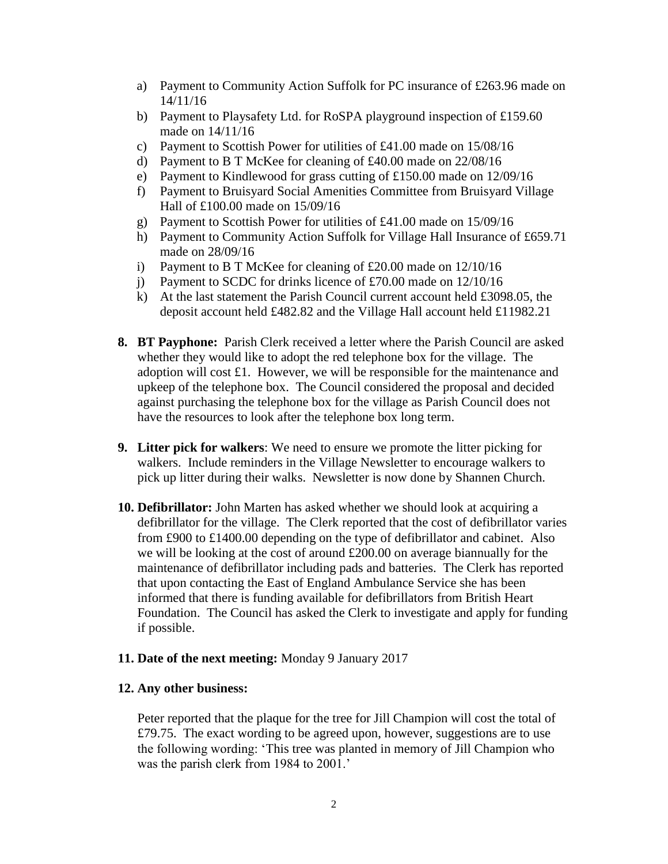- a) Payment to Community Action Suffolk for PC insurance of £263.96 made on 14/11/16
- b) Payment to Playsafety Ltd. for RoSPA playground inspection of £159.60 made on 14/11/16
- c) Payment to Scottish Power for utilities of £41.00 made on 15/08/16
- d) Payment to B T McKee for cleaning of £40.00 made on 22/08/16
- e) Payment to Kindlewood for grass cutting of £150.00 made on 12/09/16
- f) Payment to Bruisyard Social Amenities Committee from Bruisyard Village Hall of £100.00 made on 15/09/16
- g) Payment to Scottish Power for utilities of £41.00 made on 15/09/16
- h) Payment to Community Action Suffolk for Village Hall Insurance of £659.71 made on 28/09/16
- i) Payment to B T McKee for cleaning of £20.00 made on 12/10/16
- j) Payment to SCDC for drinks licence of £70.00 made on 12/10/16
- k) At the last statement the Parish Council current account held  $\pounds 3098.05$ , the deposit account held £482.82 and the Village Hall account held £11982.21
- **8. BT Payphone:** Parish Clerk received a letter where the Parish Council are asked whether they would like to adopt the red telephone box for the village. The adoption will cost £1. However, we will be responsible for the maintenance and upkeep of the telephone box.The Council considered the proposal and decided against purchasing the telephone box for the village as Parish Council does not have the resources to look after the telephone box long term.
- **9. Litter pick for walkers**: We need to ensure we promote the litter picking for walkers. Include reminders in the Village Newsletter to encourage walkers to pick up litter during their walks. Newsletter is now done by Shannen Church.
- **10. Defibrillator:** John Marten has asked whether we should look at acquiring a defibrillator for the village. The Clerk reported that the cost of defibrillator varies from £900 to £1400.00 depending on the type of defibrillator and cabinet. Also we will be looking at the cost of around £200.00 on average biannually for the maintenance of defibrillator including pads and batteries. The Clerk has reported that upon contacting the East of England Ambulance Service she has been informed that there is funding available for defibrillators from British Heart Foundation. The Council has asked the Clerk to investigate and apply for funding if possible.

### **11. Date of the next meeting:** Monday 9 January 2017

### **12. Any other business:**

Peter reported that the plaque for the tree for Jill Champion will cost the total of £79.75. The exact wording to be agreed upon, however, suggestions are to use the following wording: 'This tree was planted in memory of Jill Champion who was the parish clerk from 1984 to 2001.'